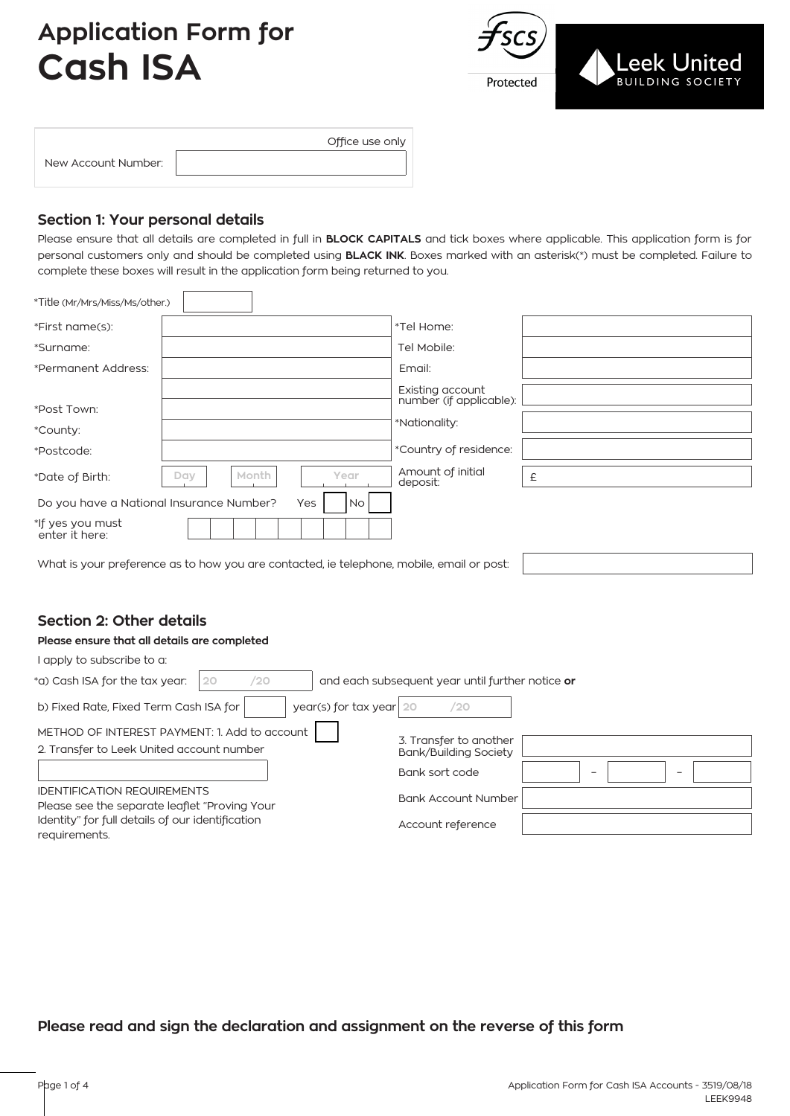# **Application Form for Cash ISA**



| New Account Number: |  |
|---------------------|--|
|                     |  |

Office use only

### **Section 1: Your personal details**

 $\Gamma$ 

Please ensure that all details are completed in full in **BLOCK CAPITALS** and tick boxes where applicable. This application form is for personal customers only and should be completed using **BLACK INK**. Boxes marked with an asterisk(\*) must be completed. Failure to complete these boxes will result in the application form being returned to you.

| *Title (Mr/Mrs/Miss/Ms/other.)           |                                                                                           |           |                                             |   |
|------------------------------------------|-------------------------------------------------------------------------------------------|-----------|---------------------------------------------|---|
| *First name(s):                          |                                                                                           |           | *Tel Home:                                  |   |
| *Surname:                                |                                                                                           |           | Tel Mobile:                                 |   |
| *Permanent Address:                      |                                                                                           |           | Email:                                      |   |
| *Post Town:                              |                                                                                           |           | Existing account<br>number (if applicable): |   |
|                                          |                                                                                           |           | *Nationality:                               |   |
| *County:<br>*Postcode:                   |                                                                                           |           | *Country of residence:                      |   |
| *Date of Birth:                          | Month<br>Day                                                                              | Year      | Amount of initial<br>deposit:               | £ |
| Do you have a National Insurance Number? |                                                                                           | Yes<br>No |                                             |   |
| *If yes you must<br>enter it here:       |                                                                                           |           |                                             |   |
|                                          | What is your preference as to how you are contacted, ie telephone, mobile, email or post: |           |                                             |   |

## **Section 2: Other details**

#### **Please ensure that all details are completed**

| I apply to subscribe to a:                                                          |                                                  |
|-------------------------------------------------------------------------------------|--------------------------------------------------|
| /20<br>*a) Cash ISA for the tax year:<br>20                                         | and each subsequent year until further notice or |
| year(s) for tax year $20$<br>b) Fixed Rate, Fixed Term Cash ISA for                 | /20                                              |
| METHOD OF INTEREST PAYMENT: 1. Add to account                                       | 3. Transfer to another                           |
| 2. Transfer to Leek United account number                                           | <b>Bank/Building Society</b>                     |
|                                                                                     | Bank sort code<br>$\overline{\phantom{0}}$<br>-  |
| <b>IDENTIFICATION REQUIREMENTS</b><br>Please see the separate leaflet "Proving Your | <b>Bank Account Number</b>                       |
| Identity" for full details of our identification<br>reauirements.                   | Account reference                                |

## **Please read and sign the declaration and assignment on the reverse of this form**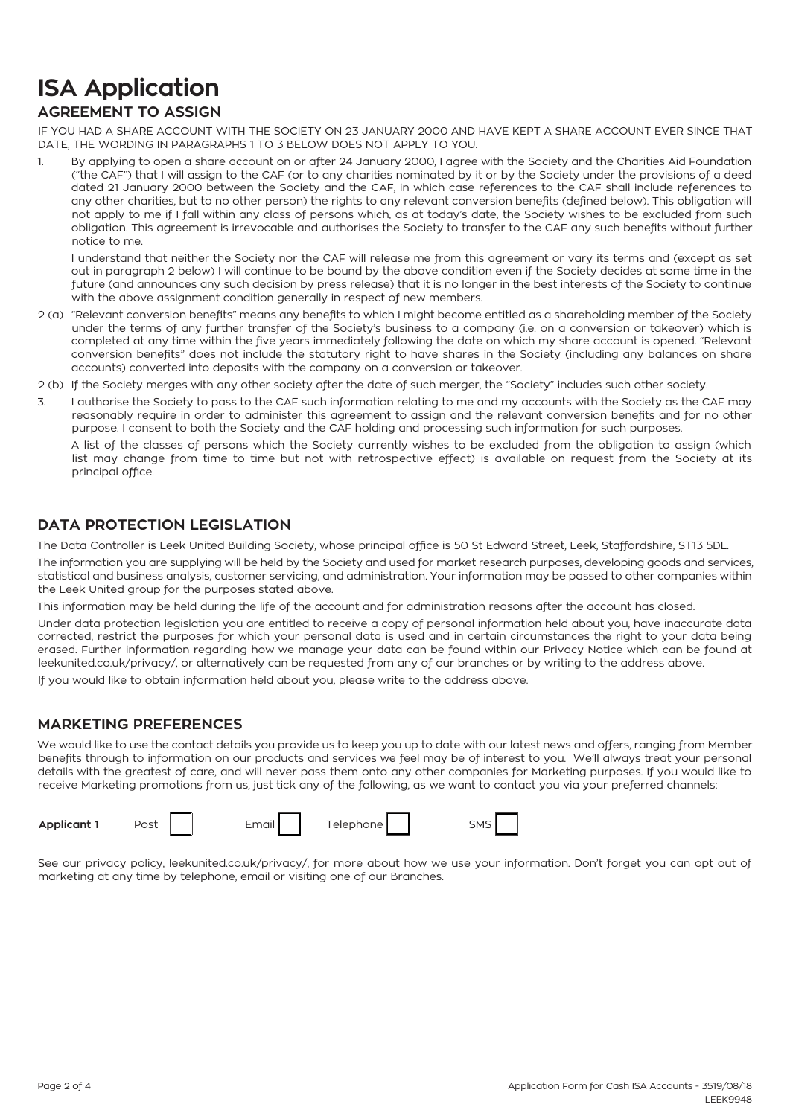# **ISA Application**

## **AGREEMENT TO ASSIGN**

IF YOU HAD A SHARE ACCOUNT WITH THE SOCIETY ON 23 JANUARY 2000 AND HAVE KEPT A SHARE ACCOUNT EVER SINCE THAT DATE, THE WORDING IN PARAGRAPHS 1 TO 3 BELOW DOES NOT APPLY TO YOU.

1. By applying to open a share account on or after 24 January 2000, I agree with the Society and the Charities Aid Foundation ("the CAF") that I will assign to the CAF (or to any charities nominated by it or by the Society under the provisions of a deed dated 21 January 2000 between the Society and the CAF, in which case references to the CAF shall include references to any other charities, but to no other person) the rights to any relevant conversion benefits (defined below). This obligation will not apply to me if I fall within any class of persons which, as at today's date, the Society wishes to be excluded from such obligation. This agreement is irrevocable and authorises the Society to transfer to the CAF any such benefits without further notice to me.

I understand that neither the Society nor the CAF will release me from this agreement or vary its terms and (except as set out in paragraph 2 below) I will continue to be bound by the above condition even if the Society decides at some time in the future (and announces any such decision by press release) that it is no longer in the best interests of the Society to continue with the above assignment condition generally in respect of new members.

- 2 (a) "Relevant conversion benefits" means any benefits to which I might become entitled as a shareholding member of the Society under the terms of any further transfer of the Society's business to a company (i.e. on a conversion or takeover) which is completed at any time within the five years immediately following the date on which my share account is opened. "Relevant conversion benefits" does not include the statutory right to have shares in the Society (including any balances on share accounts) converted into deposits with the company on a conversion or takeover.
- 2 (b) If the Society merges with any other society after the date of such merger, the "Society" includes such other society.
- 3. I authorise the Society to pass to the CAF such information relating to me and my accounts with the Society as the CAF may reasonably require in order to administer this agreement to assign and the relevant conversion benefits and for no other purpose. I consent to both the Society and the CAF holding and processing such information for such purposes.

A list of the classes of persons which the Society currently wishes to be excluded from the obligation to assign (which list may change from time to time but not with retrospective effect) is available on request from the Society at its principal office.

### **DATA PROTECTION LEGISLATION**

The Data Controller is Leek United Building Society, whose principal office is 50 St Edward Street, Leek, Staffordshire, ST13 5DL.

The information you are supplying will be held by the Society and used for market research purposes, developing goods and services, statistical and business analysis, customer servicing, and administration. Your information may be passed to other companies within the Leek United group for the purposes stated above.

This information may be held during the life of the account and for administration reasons after the account has closed.

Under data protection legislation you are entitled to receive a copy of personal information held about you, have inaccurate data corrected, restrict the purposes for which your personal data is used and in certain circumstances the right to your data being erased. Further information regarding how we manage your data can be found within our Privacy Notice which can be found at leekunited.co.uk/privacy/, or alternatively can be requested from any of our branches or by writing to the address above. If you would like to obtain information held about you, please write to the address above.

#### **MARKETING PREFERENCES**

We would like to use the contact details you provide us to keep you up to date with our latest news and offers, ranging from Member benefits through to information on our products and services we feel may be of interest to you. We'll always treat your personal details with the greatest of care, and will never pass them onto any other companies for Marketing purposes. If you would like to receive Marketing promotions from us, just tick any of the following, as we want to contact you via your preferred channels:



See our privacy policy, leekunited.co.uk/privacy/, for more about how we use your information. Don't forget you can opt out of marketing at any time by telephone, email or visiting one of our Branches.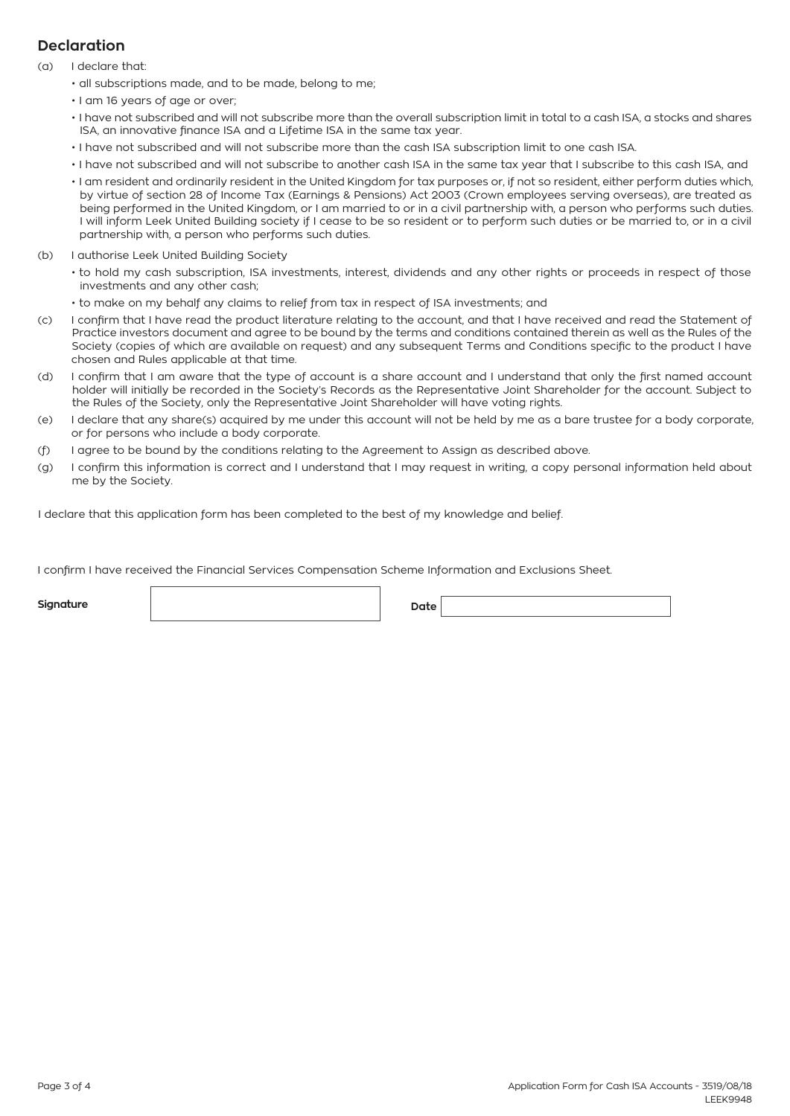## **Declaration**

- (a) I declare that:
	- all subscriptions made, and to be made, belong to me;
	- I am 16 years of age or over;
	- I have not subscribed and will not subscribe more than the overall subscription limit in total to a cash ISA, a stocks and shares ISA, an innovative finance ISA and a Lifetime ISA in the same tax year.
	- I have not subscribed and will not subscribe more than the cash ISA subscription limit to one cash ISA.
	- I have not subscribed and will not subscribe to another cash ISA in the same tax year that I subscribe to this cash ISA, and
	- I am resident and ordinarily resident in the United Kingdom for tax purposes or, if not so resident, either perform duties which, by virtue of section 28 of Income Tax (Earnings & Pensions) Act 2003 (Crown employees serving overseas), are treated as being performed in the United Kingdom, or I am married to or in a civil partnership with, a person who performs such duties. I will inform Leek United Building society if I cease to be so resident or to perform such duties or be married to, or in a civil partnership with, a person who performs such duties.
- (b) I authorise Leek United Building Society
	- to hold my cash subscription, ISA investments, interest, dividends and any other rights or proceeds in respect of those investments and any other cash;
	- to make on my behalf any claims to relief from tax in respect of ISA investments; and
- (c) I confirm that I have read the product literature relating to the account, and that I have received and read the Statement of Practice investors document and agree to be bound by the terms and conditions contained therein as well as the Rules of the Society (copies of which are available on request) and any subsequent Terms and Conditions specific to the product I have chosen and Rules applicable at that time.
- (d) I confirm that I am aware that the type of account is a share account and I understand that only the first named account holder will initially be recorded in the Society's Records as the Representative Joint Shareholder for the account. Subject to the Rules of the Society, only the Representative Joint Shareholder will have voting rights.
- (e) I declare that any share(s) acquired by me under this account will not be held by me as a bare trustee for a body corporate, or for persons who include a body corporate.
- (f) I agree to be bound by the conditions relating to the Agreement to Assign as described above.
- (g) I confirm this information is correct and I understand that I may request in writing, a copy personal information held about me by the Society.

I declare that this application form has been completed to the best of my knowledge and belief.

I confirm I have received the Financial Services Compensation Scheme Information and Exclusions Sheet.

**Signature Date**